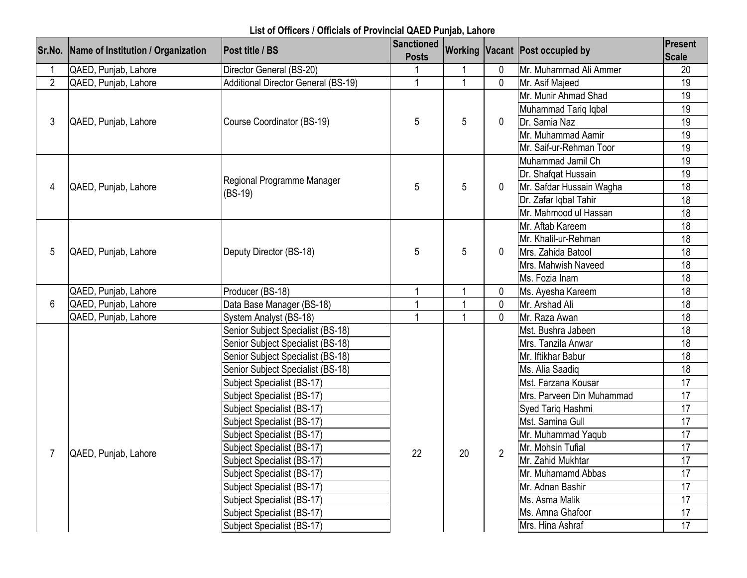## **List of Officers / Officials of Provincial QAED Punjab, Lahore**

|                | Sr.No.   Name of Institution / Organization | <b>Post title / BS</b>                     | <b>Sanctioned</b><br><b>Posts</b> |                |                | <b>Working Vacant Post occupied by</b> | Present<br><b>Scale</b> |
|----------------|---------------------------------------------|--------------------------------------------|-----------------------------------|----------------|----------------|----------------------------------------|-------------------------|
|                | QAED, Punjab, Lahore                        | Director General (BS-20)                   |                                   |                | $\mathbf 0$    | Mr. Muhammad Ali Ammer                 | 20                      |
| $\overline{2}$ | QAED, Punjab, Lahore                        | <b>Additional Director General (BS-19)</b> | $\overline{1}$                    | $\overline{1}$ | $\mathbf{0}$   | Mr. Asif Majeed                        | 19                      |
| 3              |                                             |                                            |                                   |                |                | Mr. Munir Ahmad Shad                   | 19                      |
|                | QAED, Punjab, Lahore                        |                                            | 5                                 |                |                | Muhammad Tariq Iqbal                   | 19                      |
|                |                                             | Course Coordinator (BS-19)                 |                                   | 5              | 0              | Dr. Samia Naz                          | 19                      |
|                |                                             |                                            |                                   |                |                | Mr. Muhammad Aamir                     | 19                      |
|                |                                             |                                            |                                   |                |                | Mr. Saif-ur-Rehman Toor                | 19                      |
|                |                                             |                                            |                                   |                |                | Muhammad Jamil Ch                      | 19                      |
|                |                                             | Regional Programme Manager                 |                                   |                |                | Dr. Shafqat Hussain                    | 19                      |
| 4              | QAED, Punjab, Lahore                        | $(BS-19)$                                  | 5                                 | 5              | $\Omega$       | Mr. Safdar Hussain Wagha               | 18                      |
|                |                                             |                                            |                                   |                |                | Dr. Zafar Iqbal Tahir                  | 18                      |
|                |                                             |                                            |                                   |                |                | Mr. Mahmood ul Hassan                  | 18                      |
|                |                                             | Deputy Director (BS-18)                    | 5                                 | 5              |                | Mr. Aftab Kareem                       | 18                      |
|                | QAED, Punjab, Lahore                        |                                            |                                   |                | 0              | Mr. Khalil-ur-Rehman                   | 18                      |
| 5              |                                             |                                            |                                   |                |                | Mrs. Zahida Batool                     | 18                      |
|                |                                             |                                            |                                   |                |                | Mrs. Mahwish Naveed                    | 18                      |
|                |                                             |                                            |                                   |                |                | Ms. Fozia Inam                         | 18                      |
|                | QAED, Punjab, Lahore                        | Producer (BS-18)                           |                                   | 1              | $\mathbf 0$    | Ms. Ayesha Kareem                      | 18                      |
| 6              | QAED, Punjab, Lahore                        | Data Base Manager (BS-18)                  |                                   |                | $\mathbf{0}$   | Mr. Arshad Ali                         | 18                      |
|                | QAED, Punjab, Lahore                        | System Analyst (BS-18)                     |                                   |                | $\Omega$       | Mr. Raza Awan                          | 18                      |
|                |                                             | Senior Subject Specialist (BS-18)          |                                   |                |                | Mst. Bushra Jabeen                     | 18                      |
|                |                                             | Senior Subject Specialist (BS-18)          |                                   |                |                | Mrs. Tanzila Anwar                     | 18                      |
|                |                                             | Senior Subject Specialist (BS-18)          |                                   |                |                | Mr. Iftikhar Babur                     | 18                      |
|                |                                             | Senior Subject Specialist (BS-18)          |                                   |                |                | Ms. Alia Saadig                        | 18                      |
|                |                                             | Subject Specialist (BS-17)                 |                                   |                |                | Mst. Farzana Kousar                    | 17                      |
|                |                                             | Subject Specialist (BS-17)                 |                                   |                |                | Mrs. Parveen Din Muhammad              | 17                      |
|                |                                             | Subject Specialist (BS-17)                 |                                   |                |                | Syed Tariq Hashmi                      | 17                      |
|                |                                             | Subject Specialist (BS-17)                 |                                   |                |                | Mst. Samina Gull                       | 17                      |
|                |                                             | Subject Specialist (BS-17)                 |                                   |                |                | Mr. Muhammad Yaqub                     | 17                      |
|                | QAED, Punjab, Lahore                        | Subject Specialist (BS-17)                 | 22                                | 20             | $\overline{2}$ | Mr. Mohsin Tufial                      | 17                      |
|                |                                             | Subject Specialist (BS-17)                 |                                   |                |                | Mr. Zahid Mukhtar                      | 17                      |
|                |                                             | Subject Specialist (BS-17)                 |                                   |                |                | Mr. Muhamamd Abbas                     | 17                      |
|                |                                             | Subject Specialist (BS-17)                 |                                   |                |                | Mr. Adnan Bashir                       | 17                      |
|                |                                             | Subject Specialist (BS-17)                 |                                   |                |                | Ms. Asma Malik                         | 17                      |
|                |                                             | Subject Specialist (BS-17)                 |                                   |                |                | Ms. Amna Ghafoor                       | 17                      |
|                |                                             | Subject Specialist (BS-17)                 |                                   |                |                | Mrs. Hina Ashraf                       | 17                      |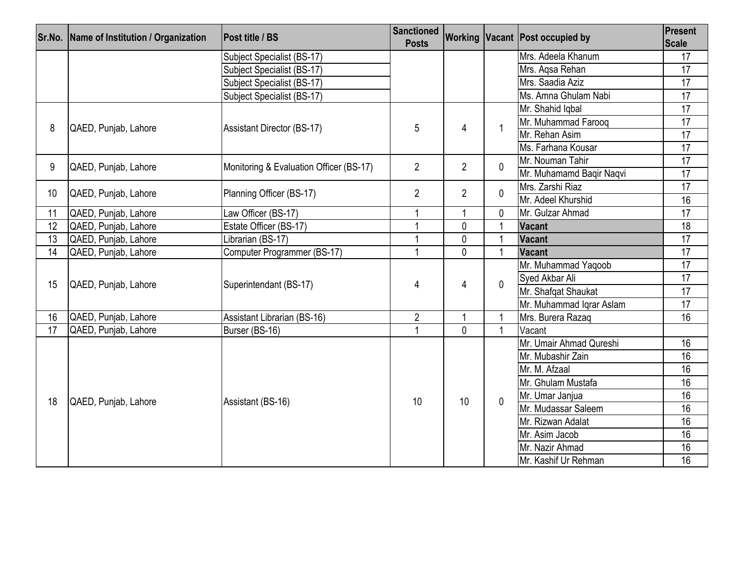|                 | Sr.No. Name of Institution / Organization | Post title / BS                         | <b>Sanctioned</b><br><b>Posts</b> |                 |                          | Working Vacant Post occupied by | Present<br><b>Scale</b> |
|-----------------|-------------------------------------------|-----------------------------------------|-----------------------------------|-----------------|--------------------------|---------------------------------|-------------------------|
|                 |                                           | Subject Specialist (BS-17)              |                                   |                 |                          | Mrs. Adeela Khanum              | 17                      |
|                 |                                           | Subject Specialist (BS-17)              |                                   |                 |                          | Mrs. Aqsa Rehan                 | 17                      |
|                 |                                           | Subject Specialist (BS-17)              |                                   |                 |                          | Mrs. Saadia Aziz                | $\overline{17}$         |
|                 |                                           | Subject Specialist (BS-17)              |                                   |                 |                          | Ms. Amna Ghulam Nabi            | 17                      |
|                 | QAED, Punjab, Lahore                      | <b>Assistant Director (BS-17)</b>       | 5                                 | $\overline{4}$  |                          | Mr. Shahid Iqbal                | $\overline{17}$         |
| 8               |                                           |                                         |                                   |                 | $\mathbf 1$              | Mr. Muhammad Faroog             | 17                      |
|                 |                                           |                                         |                                   |                 |                          | Mr. Rehan Asim                  | 17                      |
|                 |                                           |                                         |                                   |                 |                          | Ms. Farhana Kousar              | 17                      |
| 9               | QAED, Punjab, Lahore                      | Monitoring & Evaluation Officer (BS-17) | $\overline{2}$                    | $\overline{2}$  | $\mathbf 0$              | Mr. Nouman Tahir                | 17                      |
|                 |                                           |                                         |                                   |                 |                          | Mr. Muhamamd Baqir Naqvi        | $\overline{17}$         |
| 10 <sup>°</sup> | QAED, Punjab, Lahore                      | Planning Officer (BS-17)                | $\overline{2}$                    | $\overline{2}$  | $\mathbf{0}$             | Mrs. Zarshi Riaz                | 17                      |
|                 |                                           |                                         |                                   |                 |                          | Mr. Adeel Khurshid              | 16                      |
| 11              | QAED, Punjab, Lahore                      | Law Officer (BS-17)                     |                                   | $\overline{1}$  | $\mathbf{0}$             | Mr. Gulzar Ahmad                | $\overline{17}$         |
| 12              | QAED, Punjab, Lahore                      | Estate Officer (BS-17)                  |                                   | $\mathbf 0$     |                          | <b>Vacant</b>                   | 18                      |
| $\overline{13}$ | QAED, Punjab, Lahore                      | Librarian (BS-17)                       | 1                                 | $\mathbf{0}$    | $\overline{\phantom{a}}$ | <b>Vacant</b>                   | 17                      |
| 14              | QAED, Punjab, Lahore                      | Computer Programmer (BS-17)             |                                   | $\Omega$        | $\overline{1}$           | Vacant                          | 17                      |
|                 | QAED, Punjab, Lahore                      | Superintendant (BS-17)                  |                                   |                 | $\mathbf{0}$             | Mr. Muhammad Yaqoob             | 17                      |
| 15              |                                           |                                         | 4                                 | 4               |                          | Sved Akbar Ali                  | $\overline{17}$         |
|                 |                                           |                                         |                                   |                 |                          | Mr. Shafqat Shaukat             | 17                      |
|                 |                                           |                                         |                                   |                 |                          | Mr. Muhammad Iqrar Aslam        | 17                      |
| 16              | QAED, Punjab, Lahore                      | Assistant Librarian (BS-16)             | $\overline{2}$                    | 1               | $\mathbf 1$              | Mrs. Burera Razaq               | 16                      |
| 17              | QAED, Punjab, Lahore                      | Burser (BS-16)                          | 1                                 | $\mathbf{0}$    |                          | Vacant                          |                         |
|                 | QAED, Punjab, Lahore                      |                                         |                                   |                 | $\mathbf{0}$             | Mr. Umair Ahmad Qureshi         | 16                      |
|                 |                                           |                                         |                                   | 10 <sup>°</sup> |                          | Mr. Mubashir Zain               | 16                      |
|                 |                                           |                                         |                                   |                 |                          | Mr. M. Afzaal                   | 16                      |
|                 |                                           |                                         |                                   |                 |                          | Mr. Ghulam Mustafa              | 16                      |
| 18              |                                           | Assistant (BS-16)                       | 10                                |                 |                          | Mr. Umar Janjua                 | 16                      |
|                 |                                           |                                         |                                   |                 |                          | Mr. Mudassar Saleem             | 16                      |
|                 |                                           |                                         |                                   |                 |                          | Mr. Rizwan Adalat               | 16                      |
|                 |                                           |                                         |                                   |                 |                          | Mr. Asim Jacob                  | 16                      |
|                 |                                           |                                         |                                   |                 |                          | Mr. Nazir Ahmad                 | 16                      |
|                 |                                           |                                         |                                   |                 |                          | Mr. Kashif Ur Rehman            | 16                      |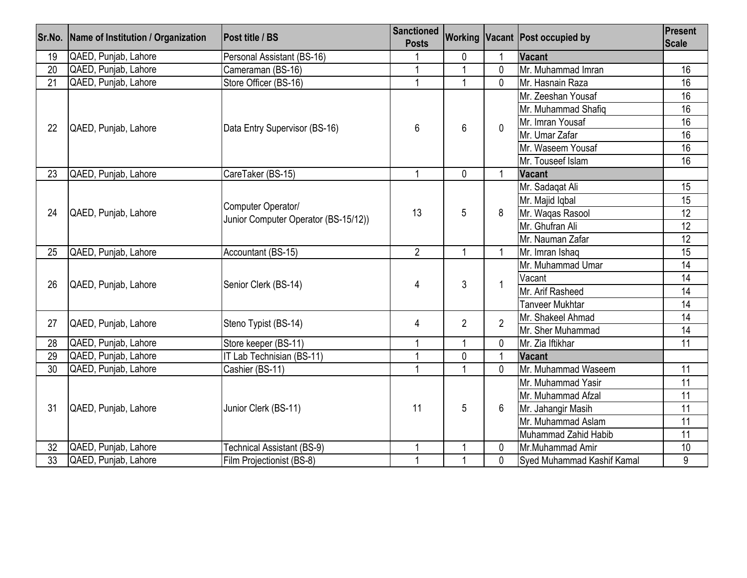|                 | Sr.No. Name of Institution / Organization | <b>Post title / BS</b>                                     | <b>Sanctioned</b><br><b>Posts</b> |                |                | Working Vacant Post occupied by   | Present<br><b>Scale</b> |
|-----------------|-------------------------------------------|------------------------------------------------------------|-----------------------------------|----------------|----------------|-----------------------------------|-------------------------|
| 19              | QAED, Punjab, Lahore                      | Personal Assistant (BS-16)                                 |                                   | 0              |                | Vacant                            |                         |
| 20              | QAED, Punjab, Lahore                      | Cameraman (BS-16)                                          |                                   | $\overline{A}$ | $\Omega$       | Mr. Muhammad Imran                | 16                      |
| 21              | QAED, Punjab, Lahore                      | Store Officer (BS-16)                                      | $\overline{1}$                    |                | $\Omega$       | Mr. Hasnain Raza                  | 16                      |
|                 | QAED, Punjab, Lahore                      | Data Entry Supervisor (BS-16)                              |                                   |                |                | Mr. Zeeshan Yousaf                | 16                      |
|                 |                                           |                                                            | 6                                 |                |                | Mr. Muhammad Shafiq               | 16                      |
| 22              |                                           |                                                            |                                   | 6              | $\Omega$       | Mr. Imran Yousaf                  | 16                      |
|                 |                                           |                                                            |                                   |                |                | Mr. Umar Zafar                    | 16                      |
|                 |                                           |                                                            |                                   |                |                | Mr. Waseem Yousaf                 | 16                      |
|                 |                                           |                                                            |                                   |                |                | Mr. Touseef Islam                 | $\overline{16}$         |
| 23              | QAED, Punjab, Lahore                      | CareTaker (BS-15)                                          | 1                                 | $\mathbf 0$    | -1             | <b>Vacant</b>                     |                         |
|                 |                                           | Computer Operator/<br>Junior Computer Operator (BS-15/12)) |                                   |                |                | Mr. Sadagat Ali                   | 15                      |
|                 | QAED, Punjab, Lahore                      |                                                            | 13                                | 5              | 8              | Mr. Majid Iqbal                   | 15                      |
| 24              |                                           |                                                            |                                   |                |                | Mr. Waqas Rasool                  | 12                      |
|                 |                                           |                                                            |                                   |                |                | Mr. Ghufran Ali                   | 12                      |
|                 |                                           |                                                            |                                   |                |                | Mr. Nauman Zafar                  | $\overline{12}$         |
| 25              | QAED, Punjab, Lahore                      | Accountant (BS-15)                                         | $\overline{2}$                    | $\overline{1}$ | $\overline{1}$ | Mr. Imran Ishaq                   | 15                      |
|                 | QAED, Punjab, Lahore                      | Senior Clerk (BS-14)                                       | 4                                 | 3              | $\overline{1}$ | Mr. Muhammad Umar                 | $\overline{14}$         |
| 26              |                                           |                                                            |                                   |                |                | Vacant                            | 14                      |
|                 |                                           |                                                            |                                   |                |                | Mr. Arif Rasheed                  | 14                      |
|                 |                                           |                                                            |                                   |                |                | Tanveer Mukhtar                   | 14                      |
| 27              | QAED, Punjab, Lahore                      | Steno Typist (BS-14)                                       | 4                                 | $\overline{2}$ | $\overline{2}$ | Mr. Shakeel Ahmad                 | 14                      |
|                 |                                           |                                                            |                                   |                |                | Mr. Sher Muhammad                 | 14                      |
| 28              | QAED, Punjab, Lahore                      | Store keeper (BS-11)                                       | $\overline{ }$                    |                | 0              | Mr. Zia Iftikhar                  | 11                      |
| 29              | QAED, Punjab, Lahore                      | IT Lab Technisian (BS-11)                                  | 1                                 | $\mathbf{0}$   |                | Vacant                            |                         |
| $\overline{30}$ | QAED, Punjab, Lahore                      | Cashier (BS-11)                                            | $\overline{1}$                    | $\overline{1}$ | $\mathbf{0}$   | Mr. Muhammad Waseem               | $\overline{11}$         |
|                 |                                           |                                                            |                                   | 5              | 6              | Mr. Muhammad Yasir                | $\overline{11}$         |
|                 |                                           |                                                            | 11                                |                |                | Mr. Muhammad Afzal                | $\overline{11}$         |
| 31              | QAED, Punjab, Lahore                      | Junior Clerk (BS-11)                                       |                                   |                |                | Mr. Jahangir Masih                | 11                      |
|                 |                                           |                                                            |                                   |                |                | Mr. Muhammad Aslam                | $\overline{11}$         |
|                 |                                           |                                                            |                                   |                |                | Muhammad Zahid Habib              | 11                      |
| 32              | QAED, Punjab, Lahore                      | <b>Technical Assistant (BS-9)</b>                          |                                   |                | 0              | Mr.Muhammad Amir                  | 10                      |
| 33              | QAED, Punjab, Lahore                      | Film Projectionist (BS-8)                                  | $\mathbf{1}$                      |                | 0              | <b>Sved Muhammad Kashif Kamal</b> | 9                       |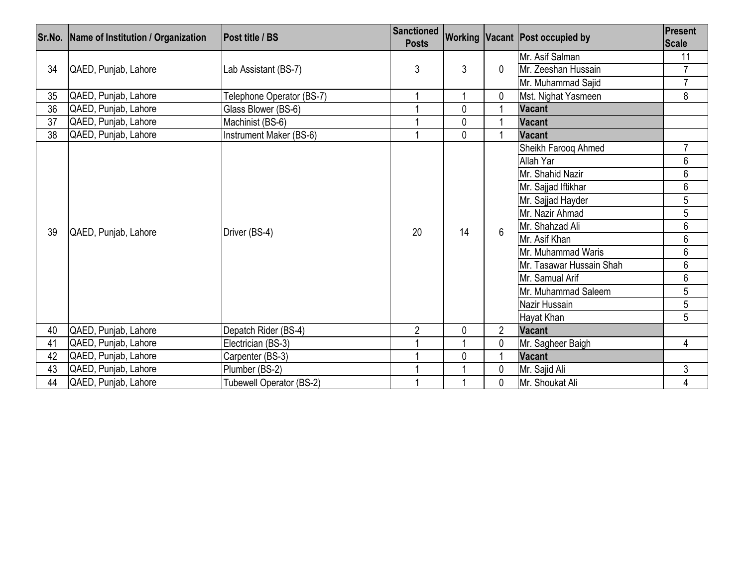|    | Sr.No.   Name of Institution / Organization | <b>Post title / BS</b>    | <b>Sanctioned</b><br><b>Posts</b> |              |                | <b>Working Vacant Post occupied by</b> | Present<br><b>Scale</b> |
|----|---------------------------------------------|---------------------------|-----------------------------------|--------------|----------------|----------------------------------------|-------------------------|
| 34 | QAED, Punjab, Lahore                        | Lab Assistant (BS-7)      | 3                                 | 3            |                | Mr. Asif Salman                        | 11                      |
|    |                                             |                           |                                   |              | 0              | Mr. Zeeshan Hussain                    | $\overline{7}$          |
|    |                                             |                           |                                   |              |                | Mr. Muhammad Sajid                     | $\overline{7}$          |
| 35 | QAED, Punjab, Lahore                        | Telephone Operator (BS-7) |                                   |              | 0              | Mst. Nighat Yasmeen                    | 8                       |
| 36 | QAED, Punjab, Lahore                        | Glass Blower (BS-6)       |                                   | $\mathbf 0$  |                | <b>Vacant</b>                          |                         |
| 37 | QAED, Punjab, Lahore                        | Machinist (BS-6)          |                                   | $\mathbf{0}$ |                | <b>Vacant</b>                          |                         |
| 38 | QAED, Punjab, Lahore                        | Instrument Maker (BS-6)   |                                   | $\mathbf 0$  |                | Vacant                                 |                         |
|    |                                             | Driver (BS-4)             | 20                                | 14           | 6              | Sheikh Farooq Ahmed                    | 7                       |
|    | QAED, Punjab, Lahore                        |                           |                                   |              |                | Allah Yar                              | 6                       |
|    |                                             |                           |                                   |              |                | Mr. Shahid Nazir                       | 6                       |
|    |                                             |                           |                                   |              |                | Mr. Sajjad Iftikhar                    | 6                       |
|    |                                             |                           |                                   |              |                | Mr. Sajjad Hayder                      | 5                       |
|    |                                             |                           |                                   |              |                | Mr. Nazir Ahmad                        | 5                       |
| 39 |                                             |                           |                                   |              |                | Mr. Shahzad Ali                        | 6                       |
|    |                                             |                           |                                   |              |                | Mr. Asif Khan                          | $\overline{6}$          |
|    |                                             |                           |                                   |              |                | Mr. Muhammad Waris                     | 6                       |
|    |                                             |                           |                                   |              |                | Mr. Tasawar Hussain Shah               | 6                       |
|    |                                             |                           |                                   |              |                | Mr. Samual Arif                        | 6                       |
|    |                                             |                           |                                   |              |                | Mr. Muhammad Saleem                    | 5                       |
|    |                                             |                           |                                   |              |                | Nazir Hussain                          | 5                       |
|    |                                             |                           |                                   |              |                | Hayat Khan                             | 5                       |
| 40 | QAED, Punjab, Lahore                        | Depatch Rider (BS-4)      | $\overline{2}$                    | $\mathbf 0$  | $\overline{2}$ | <b>Vacant</b>                          |                         |
| 41 | QAED, Punjab, Lahore                        | Electrician (BS-3)        |                                   |              | 0              | Mr. Sagheer Baigh                      | 4                       |
| 42 | QAED, Punjab, Lahore                        | Carpenter (BS-3)          |                                   | $\mathbf 0$  |                | <b>Vacant</b>                          |                         |
| 43 | QAED, Punjab, Lahore                        | Plumber (BS-2)            |                                   |              |                | Mr. Sajid Ali                          | 3                       |
| 44 | QAED, Punjab, Lahore                        | Tubewell Operator (BS-2)  |                                   |              | 0              | Mr. Shoukat Ali                        | 4                       |